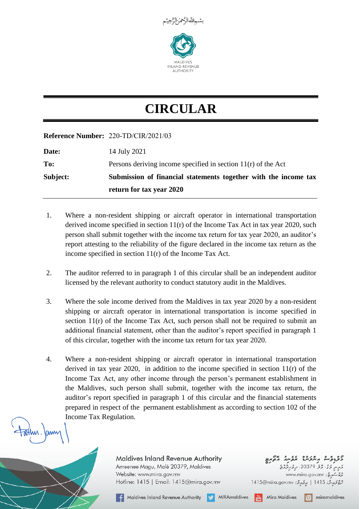

## **CIRCULAR**

## **Reference Number:** *220-TD/CIR/2021/03*

|          | return for tax year 2020                                        |
|----------|-----------------------------------------------------------------|
| Subject: | Submission of financial statements together with the income tax |
| To:      | Persons deriving income specified in section $11(r)$ of the Act |
| Date:    | 14 July 2021                                                    |

- 1. Where a non-resident shipping or aircraft operator in international transportation derived income specified in section 11(r) of the Income Tax Act in tax year 2020, such person shall submit together with the income tax return for tax year 2020, an auditor's report attesting to the reliability of the figure declared in the income tax return as the income specified in section 11(r) of the Income Tax Act.
- 2. The auditor referred to in paragraph 1 of this circular shall be an independent auditor licensed by the relevant authority to conduct statutory audit in the Maldives.
- 3. Where the sole income derived from the Maldives in tax year 2020 by a non-resident shipping or aircraft operator in international transportation is income specified in section  $11(r)$  of the Income Tax Act, such person shall not be required to submit an additional financial statement, other than the auditor's report specified in paragraph 1 of this circular, together with the income tax return for tax year 2020.
- 4. Where a non-resident shipping or aircraft operator in international transportation derived in tax year 2020, in addition to the income specified in section 11(r) of the Income Tax Act, any other income through the person's permanent establishment in the Maldives, such person shall submit, together with the income tax return, the auditor's report specified in paragraph 1 of this circular and the financial statements prepared in respect of the permanent establishment as according to section 102 of the Income Tax Regulation.

Maldives Inland Revenue Authority Ameenee Magu, Malé 20379, Maldives Website: www.mira.gov.mv Hotline: 1415 | Email: 1415@mira.gov.mv

**A** Maldives Inland Revenue Authority **MIRA** MIRAmaldives

9**3ءوے پر عرکبے عروسہ بی**م<br><sub>197</sub>مر 5ء 35 20379ء *کروگر* www.mira.gov.mv : 2000

1415@mira.gov.mv : جمعة: 1415@mira.gov.mv

**Tital** Mira Maldives

 $\boxed{\circ}$  miramaldives